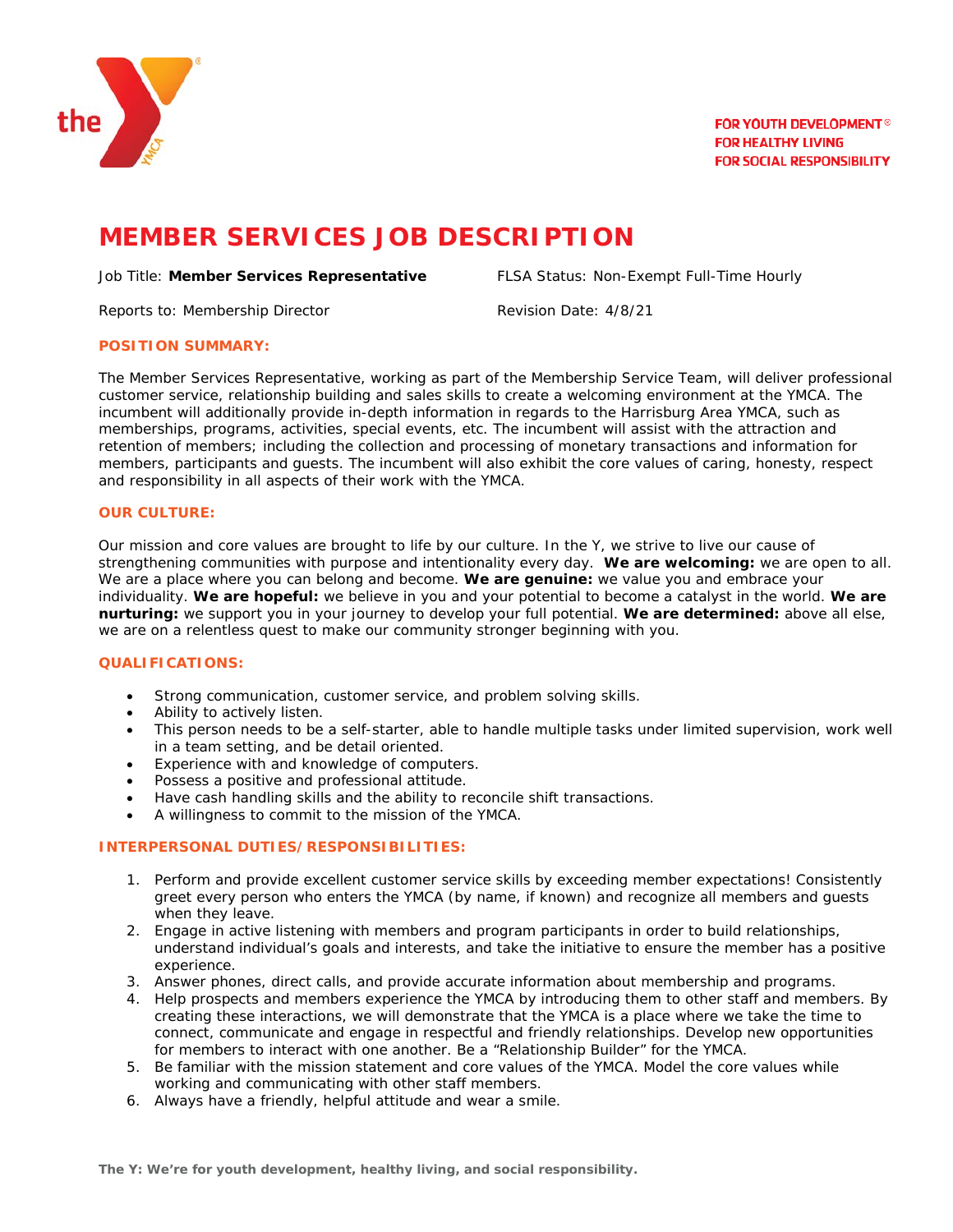

# **MEMBER SERVICES JOB DESCRIPTION**

#### Job Title: **Member Services Representative** FLSA Status: Non-Exempt Full-Time Hourly

Reports to: Membership Director Revision Date: 4/8/21

#### **POSITION SUMMARY:**

The Member Services Representative, working as part of the Membership Service Team, will deliver professional customer service, relationship building and sales skills to create a welcoming environment at the YMCA. The incumbent will additionally provide in-depth information in regards to the Harrisburg Area YMCA, such as memberships, programs, activities, special events, etc. The incumbent will assist with the attraction and retention of members; including the collection and processing of monetary transactions and information for members, participants and guests. The incumbent will also exhibit the core values of caring, honesty, respect and responsibility in all aspects of their work with the YMCA.

# **OUR CULTURE:**

Our mission and core values are brought to life by our culture. In the Y, we strive to live our cause of strengthening communities with purpose and intentionality every day. **We are welcoming:** we are open to all. We are a place where you can belong and become. **We are genuine:** we value you and embrace your individuality. **We are hopeful:** we believe in you and your potential to become a catalyst in the world. **We are nurturing:** we support you in your journey to develop your full potential. **We are determined:** above all else, we are on a relentless quest to make our community stronger beginning with you.

# **QUALIFICATIONS:**

- Strong communication, customer service, and problem solving skills.
- Ability to actively listen.
- This person needs to be a self-starter, able to handle multiple tasks under limited supervision, work well in a team setting, and be detail oriented.
- Experience with and knowledge of computers.
- Possess a positive and professional attitude.
- Have cash handling skills and the ability to reconcile shift transactions.
- A willingness to commit to the mission of the YMCA.

# **INTERPERSONAL DUTIES/RESPONSIBILITIES:**

- 1. Perform and provide excellent customer service skills by exceeding member expectations! Consistently greet every person who enters the YMCA (by name, if known) and recognize all members and guests when they leave.
- 2. Engage in active listening with members and program participants in order to build relationships, understand individual's goals and interests, and take the initiative to ensure the member has a positive experience.
- 3. Answer phones, direct calls, and provide accurate information about membership and programs.
- 4. Help prospects and members experience the YMCA by introducing them to other staff and members. By creating these interactions, we will demonstrate that the YMCA is a place where we take the time to connect, communicate and engage in respectful and friendly relationships. Develop new opportunities for members to interact with one another. Be a "Relationship Builder" for the YMCA.
- 5. Be familiar with the mission statement and core values of the YMCA. Model the core values while working and communicating with other staff members.
- 6. Always have a friendly, helpful attitude and wear a smile.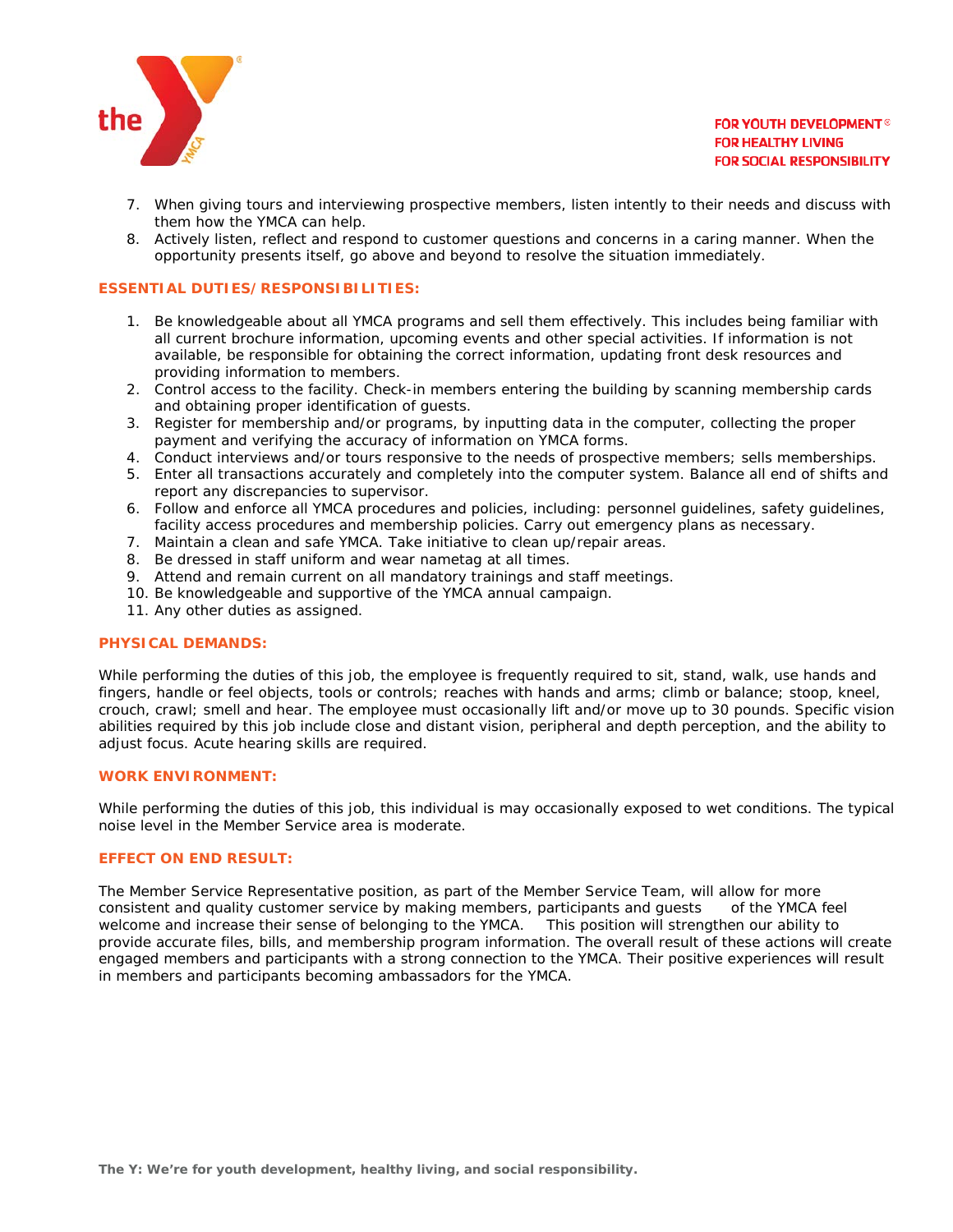

- 7. When giving tours and interviewing prospective members, listen intently to their needs and discuss with them how the YMCA can help.
- 8. Actively listen, reflect and respond to customer questions and concerns in a caring manner. When the opportunity presents itself, go above and beyond to resolve the situation immediately.

#### **ESSENTIAL DUTIES/RESPONSIBILITIES:**

- 1. Be knowledgeable about all YMCA programs and sell them effectively. This includes being familiar with all current brochure information, upcoming events and other special activities. If information is not available, be responsible for obtaining the correct information, updating front desk resources and providing information to members.
- 2. Control access to the facility. Check-in members entering the building by scanning membership cards and obtaining proper identification of guests.
- 3. Register for membership and/or programs, by inputting data in the computer, collecting the proper payment and verifying the accuracy of information on YMCA forms.
- 4. Conduct interviews and/or tours responsive to the needs of prospective members; sells memberships.
- 5. Enter all transactions accurately and completely into the computer system. Balance all end of shifts and report any discrepancies to supervisor.
- 6. Follow and enforce all YMCA procedures and policies, including: personnel guidelines, safety guidelines, facility access procedures and membership policies. Carry out emergency plans as necessary.
- 7. Maintain a clean and safe YMCA. Take initiative to clean up/repair areas.
- 8. Be dressed in staff uniform and wear nametag at all times.
- 9. Attend and remain current on all mandatory trainings and staff meetings.
- 10. Be knowledgeable and supportive of the YMCA annual campaign.
- 11. Any other duties as assigned.

#### **PHYSICAL DEMANDS:**

While performing the duties of this job, the employee is frequently required to sit, stand, walk, use hands and fingers, handle or feel objects, tools or controls; reaches with hands and arms; climb or balance; stoop, kneel, crouch, crawl; smell and hear. The employee must occasionally lift and/or move up to 30 pounds. Specific vision abilities required by this job include close and distant vision, peripheral and depth perception, and the ability to adjust focus. Acute hearing skills are required.

#### **WORK ENVIRONMENT:**

While performing the duties of this job, this individual is may occasionally exposed to wet conditions. The typical noise level in the Member Service area is moderate.

#### **EFFECT ON END RESULT:**

The Member Service Representative position, as part of the Member Service Team, will allow for more consistent and quality customer service by making members, participants and quests of the YMCA feel welcome and increase their sense of belonging to the YMCA. This position will strengthen our ability to provide accurate files, bills, and membership program information. The overall result of these actions will create engaged members and participants with a strong connection to the YMCA. Their positive experiences will result in members and participants becoming ambassadors for the YMCA.